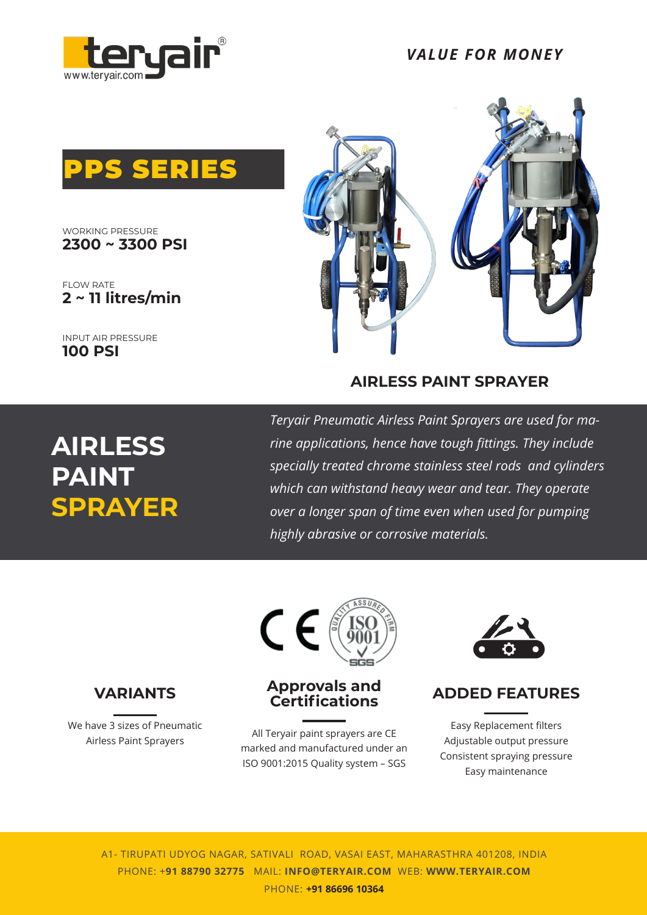

*VALUE FOR MONEY*



**2300 ~ 3300 PSI** WORKING PRESSURE

FLOW RATE **2 ~ 11 litres/min**

INPUT AIR PRESSURE **100 PSI**



### **AIRLESS PAINT SPRAYER**

# **AIRLESS PAINT SPRAYER**

*Teryair Pneumatic Airless Paint Sprayers are used for marine applications, hence have tough fittings. They include specially treated chrome stainless steel rods and cylinders which can withstand heavy wear and tear. They operate over a longer span of time even when used for pumping highly abrasive or corrosive materials.*



We have 3 sizes of Pneumatic Airless Paint Sprayers



### **Approvals and Certifications**

All Teryair paint sprayers are CE marked and manufactured under an ISO 9001:2015 Quality system – SGS

![](_page_0_Picture_15.jpeg)

### **ADDED FEATURES**

Easy Replacement filters Adjustable output pressure Consistent spraying pressure Easy maintenance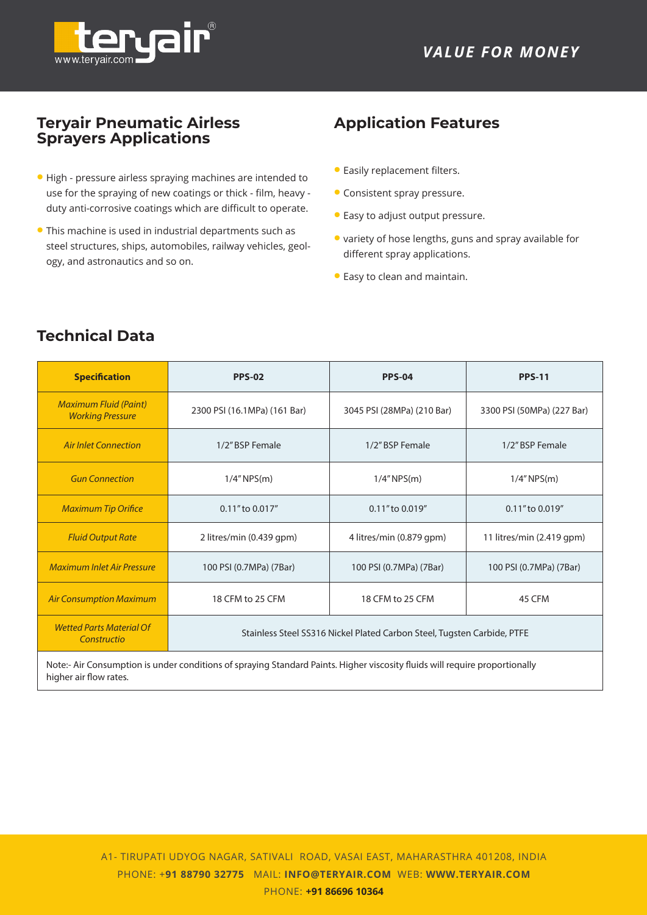![](_page_1_Picture_1.jpeg)

### **Teryair Pneumatic Airless Sprayers Applications**

- High pressure airless spraying machines are intended to use for the spraying of new coatings or thick - film, heavy duty anti-corrosive coatings which are difficult to operate.
- This machine is used in industrial departments such as steel structures, ships, automobiles, railway vehicles, geology, and astronautics and so on.

#### $B_{\rm P}$ perioaction k **Application Features**

- Easily replacement filters.
- Consistent spray pressure.
- Easy to adjust output pressure.
- variety of hose lengths, guns and spray available for different spray applications.
- Easy to clean and maintain.

| <b>Specification</b>                                                                                                        | <b>PPS-02</b>                                                           | <b>PPS-04</b>              | <b>PPS-11</b>              |  |  |
|-----------------------------------------------------------------------------------------------------------------------------|-------------------------------------------------------------------------|----------------------------|----------------------------|--|--|
| <b>Maximum Fluid (Paint)</b><br><b>Working Pressure</b>                                                                     | 2300 PSI (16.1MPa) (161 Bar)                                            | 3045 PSI (28MPa) (210 Bar) | 3300 PSI (50MPa) (227 Bar) |  |  |
| <b>Air Inlet Connection</b>                                                                                                 | 1/2" BSP Female                                                         | 1/2" BSP Female            | 1/2" BSP Female            |  |  |
| <b>Gun Connection</b>                                                                                                       | $1/4''$ NPS(m)                                                          | $1/4''$ NPS(m)             | $1/4''$ NPS(m)             |  |  |
| <b>Maximum Tip Orifice</b>                                                                                                  | 0.11" to 0.017"                                                         | 0.11" to 0.019"            | 0.11" to 0.019"            |  |  |
| <b>Fluid Output Rate</b>                                                                                                    | 2 litres/min (0.439 gpm)                                                | 4 litres/min (0.879 gpm)   | 11 litres/min (2.419 gpm)  |  |  |
| <b>Maximum Inlet Air Pressure</b>                                                                                           | 100 PSI (0.7MPa) (7Bar)                                                 | 100 PSI (0.7MPa) (7Bar)    | 100 PSI (0.7MPa) (7Bar)    |  |  |
| <b>Air Consumption Maximum</b>                                                                                              | 18 CFM to 25 CFM<br>18 CFM to 25 CFM<br>45 CFM                          |                            |                            |  |  |
| <b>Wetted Parts Material Of</b><br>Constructio                                                                              | Stainless Steel SS316 Nickel Plated Carbon Steel, Tugsten Carbide, PTFE |                            |                            |  |  |
| Note:- Air Consumption is under conditions of spraying Standard Paints. Higher viscosity fluids will require proportionally |                                                                         |                            |                            |  |  |

**Technical Data**

higher air flow rates.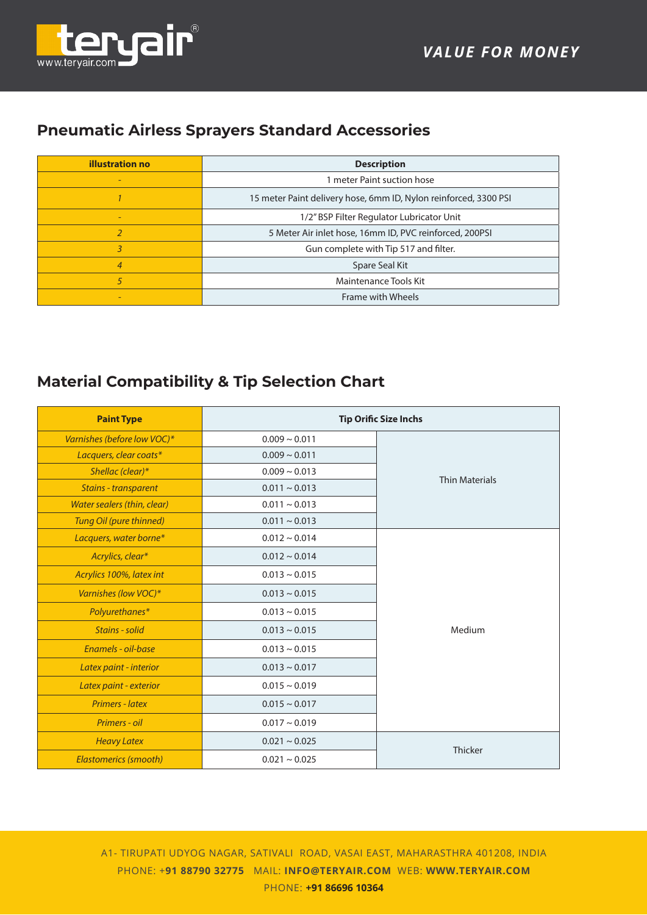![](_page_2_Picture_1.jpeg)

# **Pneumatic Airless Sprayers Standard Accessories**

| <b>illustration no</b>   | <b>Description</b>                                               |  |  |
|--------------------------|------------------------------------------------------------------|--|--|
| $\overline{\phantom{0}}$ | 1 meter Paint suction hose                                       |  |  |
|                          | 15 meter Paint delivery hose, 6mm ID, Nylon reinforced, 3300 PSI |  |  |
|                          | 1/2" BSP Filter Regulator Lubricator Unit                        |  |  |
|                          | 5 Meter Air inlet hose, 16mm ID, PVC reinforced, 200PSI          |  |  |
| 3                        | Gun complete with Tip 517 and filter.                            |  |  |
| $\overline{4}$           | Spare Seal Kit                                                   |  |  |
| 5                        | Maintenance Tools Kit                                            |  |  |
|                          | Frame with Wheels                                                |  |  |

# **Material Compatibility & Tip Selection Chart**

| <b>Paint Type</b>            |                    | <b>Tip Orific Size Inchs</b> |
|------------------------------|--------------------|------------------------------|
| Varnishes (before low VOC)*  | $0.009 \sim 0.011$ |                              |
| Lacquers, clear coats*       | $0.009 \sim 0.011$ |                              |
| Shellac (clear)*             | $0.009 \sim 0.013$ | <b>Thin Materials</b>        |
| <b>Stains - transparent</b>  | $0.011 \sim 0.013$ |                              |
| Water sealers (thin, clear)  | $0.011 \sim 0.013$ |                              |
| Tung Oil (pure thinned)      | $0.011 \sim 0.013$ |                              |
| Lacquers, water borne*       | $0.012 \sim 0.014$ |                              |
| Acrylics, clear*             | $0.012 \sim 0.014$ |                              |
| Acrylics 100%, latex int     | $0.013 \sim 0.015$ |                              |
| Varnishes (low VOC)*         | $0.013 \sim 0.015$ |                              |
| Polyurethanes*               | $0.013 \sim 0.015$ |                              |
| Stains - solid               | $0.013 \sim 0.015$ | Medium                       |
| Enamels - oil-base           | $0.013 \sim 0.015$ |                              |
| Latex paint - interior       | $0.013 \sim 0.017$ |                              |
| Latex paint - exterior       | $0.015 \sim 0.019$ |                              |
| <b>Primers - latex</b>       | $0.015 \sim 0.017$ |                              |
| Primers - oil                | $0.017 \sim 0.019$ |                              |
| <b>Heavy Latex</b>           | $0.021 \sim 0.025$ | Thicker                      |
| <b>Elastomerics (smooth)</b> | $0.021 \sim 0.025$ |                              |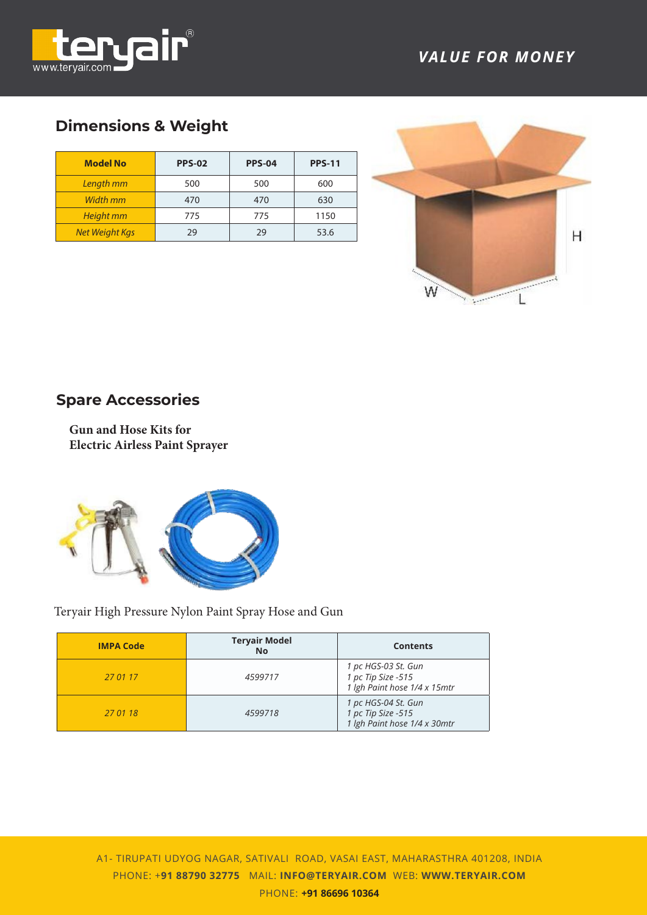![](_page_3_Picture_0.jpeg)

## **Dimensions & Weight**

| <b>Model No</b>       | <b>PPS-02</b> | <b>PPS-04</b> | <b>PPS-11</b> |
|-----------------------|---------------|---------------|---------------|
| Length mm             | 500           | 500           | 600           |
| Width mm              | 470           | 470           | 630           |
| <b>Height mm</b>      | 775           | 775           | 1150          |
| <b>Net Weight Kgs</b> | 29            | 29            | 53.6          |

![](_page_3_Picture_4.jpeg)

# **Spare Accessories**

**Gun and Hose Kits for Electric Airless Paint Sprayer**

![](_page_3_Picture_7.jpeg)

Teryair High Pressure Nylon Paint Spray Hose and Gun

| <b>IMPA Code</b> | <b>Teryair Model</b><br><b>No</b> | <b>Contents</b>                                                           |
|------------------|-----------------------------------|---------------------------------------------------------------------------|
| 27 01 17         | 4599717                           | 1 pc HGS-03 St. Gun<br>1 pc Tip Size -515<br>1 lgh Paint hose 1/4 x 15mtr |
| 27 01 18         | 4599718                           | 1 pc HGS-04 St. Gun<br>1 pc Tip Size -515<br>1 lgh Paint hose 1/4 x 30mtr |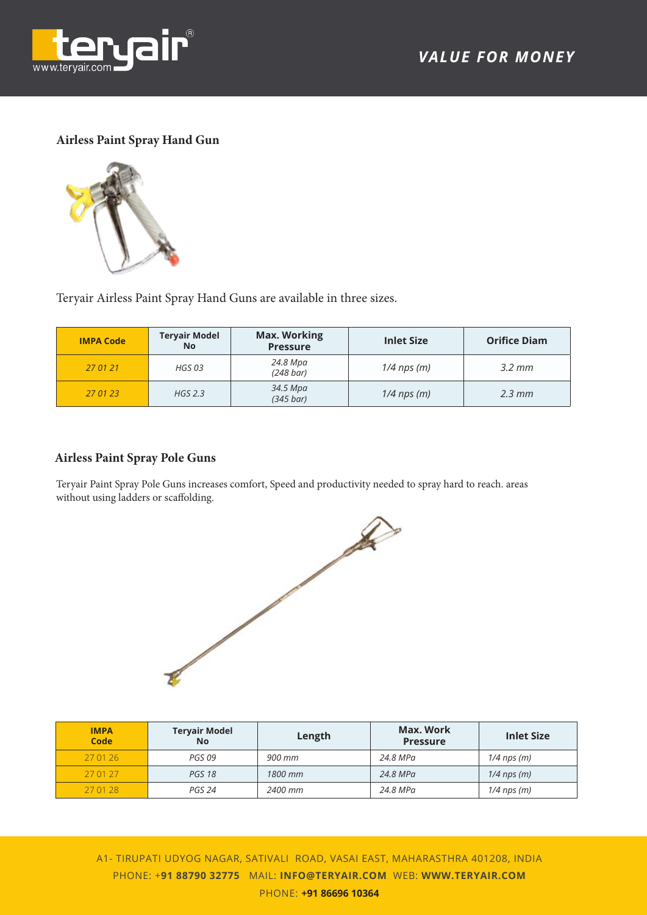![](_page_4_Picture_0.jpeg)

#### **Airless Paint Spray Hand Gun**

![](_page_4_Picture_3.jpeg)

Teryair Airless Paint Spray Hand Guns are available in three sizes.

| <b>IMPA Code</b> | <b>Teryair Model</b><br><b>No</b> | <b>Max. Working</b><br><b>Pressure</b> | <b>Inlet Size</b> | <b>Orifice Diam</b> |
|------------------|-----------------------------------|----------------------------------------|-------------------|---------------------|
| 27 01 21         | HGS 03                            | 24.8 Mpa<br>$(248 \text{ bar})$        | $1/4$ nps (m)     | $3.2 \, \text{mm}$  |
| 27 01 23         | $HGS$ 2.3                         | 34.5 Mpa<br>$(345 \text{ bar})$        | $1/4$ nps (m)     | $2.3 \, \text{mm}$  |

#### **Airless Paint Spray Pole Guns**

Teryair Paint Spray Pole Guns increases comfort, Speed and productivity needed to spray hard to reach. areas without using ladders or scaffolding.

![](_page_4_Picture_8.jpeg)

| <b>IMPA</b><br>Code | <b>Tervair Model</b><br><b>No</b> | Length  | Max. Work<br><b>Pressure</b> | <b>Inlet Size</b> |
|---------------------|-----------------------------------|---------|------------------------------|-------------------|
| 27 01 26            | PGS 09                            | 900 mm  | 24.8 MPa                     | $1/4$ nps (m)     |
| 27 01 27            | <b>PGS 18</b>                     | 1800 mm | 24.8 MPa                     | $1/4$ nps (m)     |
| 27 01 28            | PGS 24                            | 2400 mm | 24.8 MPa                     | $1/4$ nps (m)     |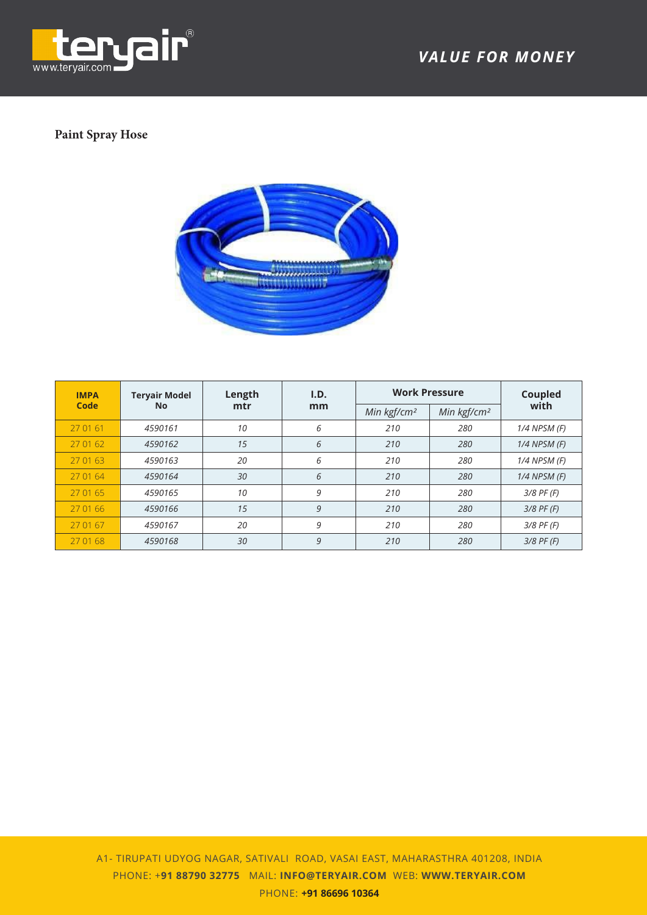![](_page_5_Picture_0.jpeg)

### **Paint Spray Hose**

![](_page_5_Picture_3.jpeg)

| <b>IMPA</b> | <b>Teryair Model</b> | Length | I.D. | <b>Work Pressure</b>    |                         | Coupled          |
|-------------|----------------------|--------|------|-------------------------|-------------------------|------------------|
| Code        | No.                  | mtr    | mm   | Min kgf/cm <sup>2</sup> | Min kgf/cm <sup>2</sup> | with             |
| 27 01 61    | 4590161              | 10     | 6    | 210                     | 280                     | 1/4 NPSM (F)     |
| 27 01 62    | 4590162              | 15     | 6    | 210                     | 280                     | $1/4$ NPSM $(F)$ |
| 27 01 63    | 4590163              | 20     | 6    | 210                     | 280                     | 1/4 NPSM (F)     |
| 27 01 64    | 4590164              | 30     | 6    | 210                     | 280                     | $1/4$ NPSM $(F)$ |
| 27 01 65    | 4590165              | 10     | 9    | 210                     | 280                     | $3/8$ PF (F)     |
| 27 01 66    | 4590166              | 15     | 9    | 210                     | 280                     | $3/8$ PF (F)     |
| 27 01 67    | 4590167              | 20     | 9    | 210                     | 280                     | $3/8$ PF (F)     |
| 27 01 68    | 4590168              | 30     | 9    | 210                     | 280                     | $3/8$ PF (F)     |